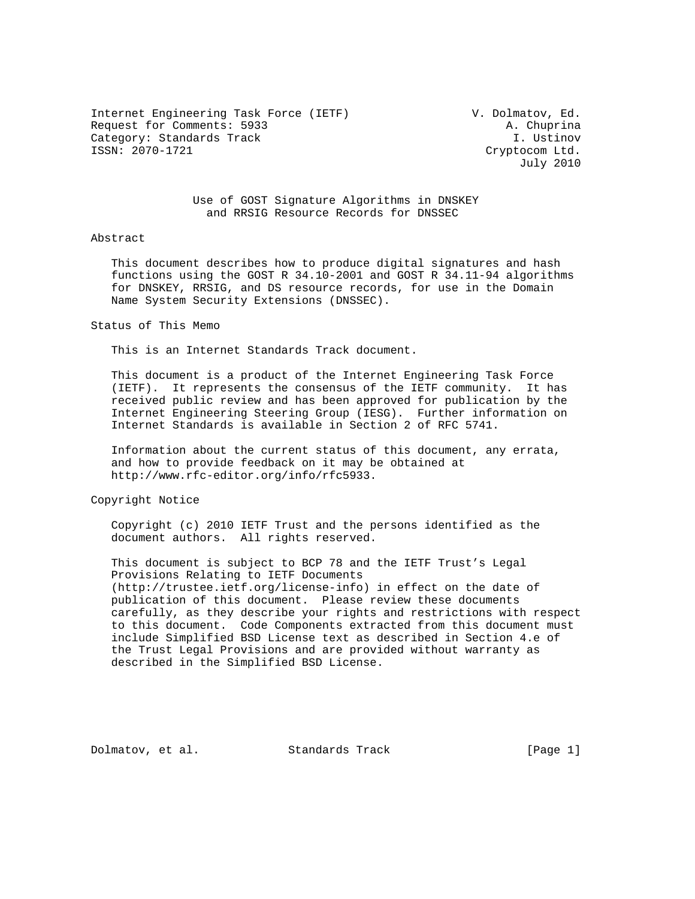Internet Engineering Task Force (IETF) V. Dolmatov, Ed. Request for Comments: 5933 A. Chuprina Category: Standards Track and I. Ustinov and I. Ustinov and I. Ustinov and I. Ustinov and I. Ustinov and I. Ustinov<br>I. UssN: 2070-1721 and I. Ustinov and I. Ustinov and I. Ustinov and I. Ustinov and I. Ustinov and I. Ustin

Cryptocom Ltd. July 2010

 Use of GOST Signature Algorithms in DNSKEY and RRSIG Resource Records for DNSSEC

#### Abstract

 This document describes how to produce digital signatures and hash functions using the GOST R 34.10-2001 and GOST R 34.11-94 algorithms for DNSKEY, RRSIG, and DS resource records, for use in the Domain Name System Security Extensions (DNSSEC).

#### Status of This Memo

This is an Internet Standards Track document.

 This document is a product of the Internet Engineering Task Force (IETF). It represents the consensus of the IETF community. It has received public review and has been approved for publication by the Internet Engineering Steering Group (IESG). Further information on Internet Standards is available in Section 2 of RFC 5741.

 Information about the current status of this document, any errata, and how to provide feedback on it may be obtained at http://www.rfc-editor.org/info/rfc5933.

Copyright Notice

 Copyright (c) 2010 IETF Trust and the persons identified as the document authors. All rights reserved.

 This document is subject to BCP 78 and the IETF Trust's Legal Provisions Relating to IETF Documents (http://trustee.ietf.org/license-info) in effect on the date of publication of this document. Please review these documents carefully, as they describe your rights and restrictions with respect to this document. Code Components extracted from this document must include Simplified BSD License text as described in Section 4.e of the Trust Legal Provisions and are provided without warranty as described in the Simplified BSD License.

Dolmatov, et al. Standards Track [Page 1]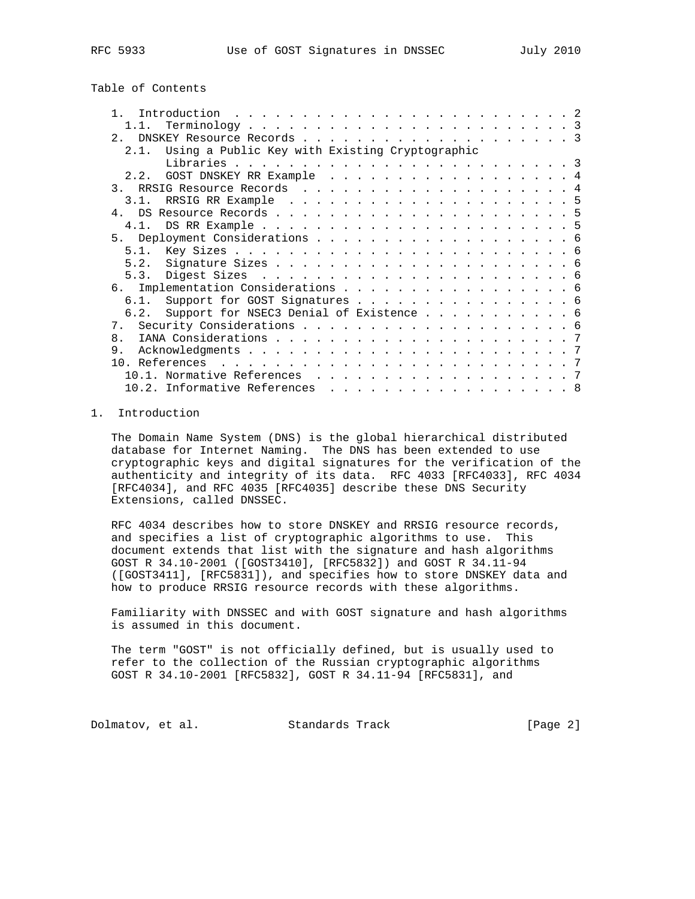# Table of Contents

| $\mathbf{1}$                                           |  |
|--------------------------------------------------------|--|
|                                                        |  |
|                                                        |  |
| Using a Public Key with Existing Cryptographic<br>2.1. |  |
|                                                        |  |
| 2.2. GOST DNSKEY RR Example 4                          |  |
|                                                        |  |
|                                                        |  |
|                                                        |  |
|                                                        |  |
|                                                        |  |
|                                                        |  |
|                                                        |  |
|                                                        |  |
|                                                        |  |
| 6. Implementation Considerations 6                     |  |
|                                                        |  |
| 6.1. Support for GOST Signatures 6                     |  |
| 6.2. Support for NSEC3 Denial of Existence 6           |  |
|                                                        |  |
| 8.                                                     |  |
| 9.                                                     |  |
| 10. References                                         |  |
|                                                        |  |
| 10.2. Informative References 8                         |  |
|                                                        |  |

## 1. Introduction

 The Domain Name System (DNS) is the global hierarchical distributed database for Internet Naming. The DNS has been extended to use cryptographic keys and digital signatures for the verification of the authenticity and integrity of its data. RFC 4033 [RFC4033], RFC 4034 [RFC4034], and RFC 4035 [RFC4035] describe these DNS Security Extensions, called DNSSEC.

 RFC 4034 describes how to store DNSKEY and RRSIG resource records, and specifies a list of cryptographic algorithms to use. This document extends that list with the signature and hash algorithms GOST R 34.10-2001 ([GOST3410], [RFC5832]) and GOST R 34.11-94 ([GOST3411], [RFC5831]), and specifies how to store DNSKEY data and how to produce RRSIG resource records with these algorithms.

 Familiarity with DNSSEC and with GOST signature and hash algorithms is assumed in this document.

 The term "GOST" is not officially defined, but is usually used to refer to the collection of the Russian cryptographic algorithms GOST R 34.10-2001 [RFC5832], GOST R 34.11-94 [RFC5831], and

Dolmatov, et al. Standards Track [Page 2]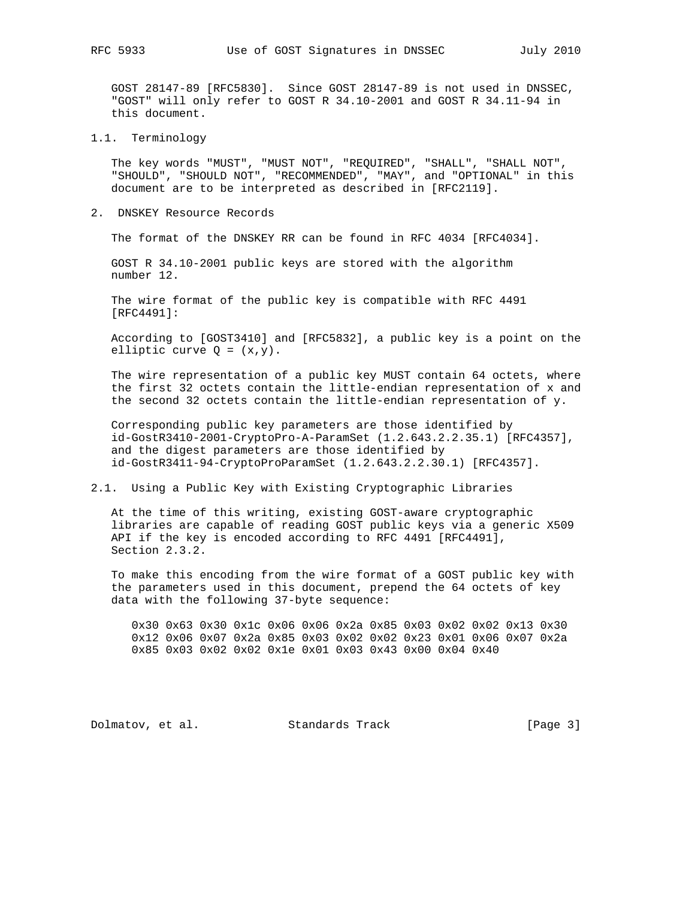GOST 28147-89 [RFC5830]. Since GOST 28147-89 is not used in DNSSEC, "GOST" will only refer to GOST R 34.10-2001 and GOST R 34.11-94 in this document.

1.1. Terminology

 The key words "MUST", "MUST NOT", "REQUIRED", "SHALL", "SHALL NOT", "SHOULD", "SHOULD NOT", "RECOMMENDED", "MAY", and "OPTIONAL" in this document are to be interpreted as described in [RFC2119].

2. DNSKEY Resource Records

The format of the DNSKEY RR can be found in RFC 4034 [RFC4034].

 GOST R 34.10-2001 public keys are stored with the algorithm number 12.

 The wire format of the public key is compatible with RFC 4491 [RFC4491]:

 According to [GOST3410] and [RFC5832], a public key is a point on the elliptic curve  $Q = (x,y)$ .

 The wire representation of a public key MUST contain 64 octets, where the first 32 octets contain the little-endian representation of x and the second 32 octets contain the little-endian representation of y.

 Corresponding public key parameters are those identified by id-GostR3410-2001-CryptoPro-A-ParamSet (1.2.643.2.2.35.1) [RFC4357], and the digest parameters are those identified by id-GostR3411-94-CryptoProParamSet (1.2.643.2.2.30.1) [RFC4357].

2.1. Using a Public Key with Existing Cryptographic Libraries

 At the time of this writing, existing GOST-aware cryptographic libraries are capable of reading GOST public keys via a generic X509 API if the key is encoded according to RFC 4491 [RFC4491], Section 2.3.2.

 To make this encoding from the wire format of a GOST public key with the parameters used in this document, prepend the 64 octets of key data with the following 37-byte sequence:

 0x30 0x63 0x30 0x1c 0x06 0x06 0x2a 0x85 0x03 0x02 0x02 0x13 0x30 0x12 0x06 0x07 0x2a 0x85 0x03 0x02 0x02 0x23 0x01 0x06 0x07 0x2a 0x85 0x03 0x02 0x02 0x1e 0x01 0x03 0x43 0x00 0x04 0x40

Dolmatov, et al. Standards Track [Page 3]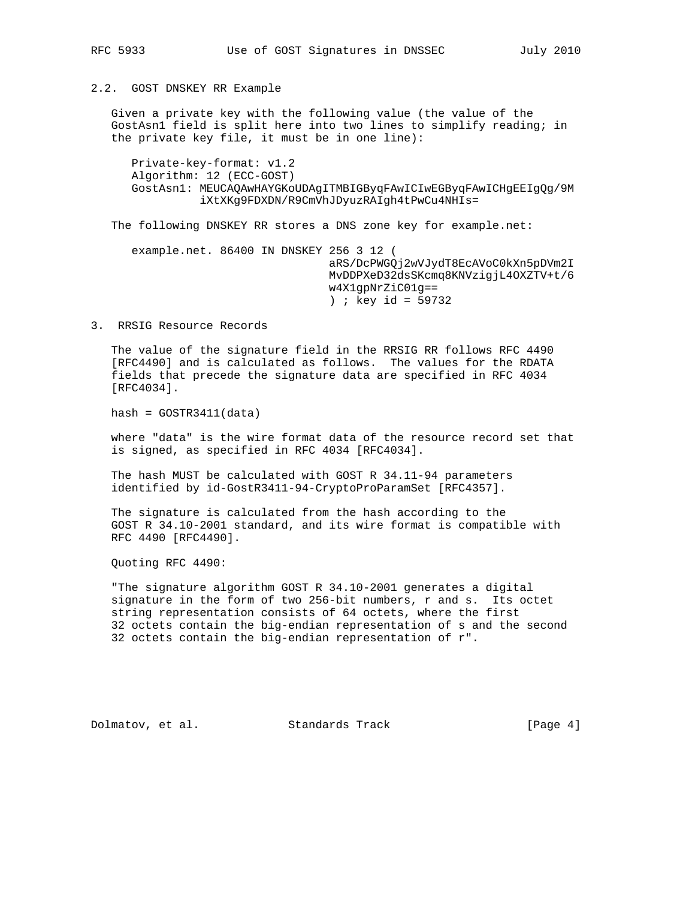2.2. GOST DNSKEY RR Example

 Given a private key with the following value (the value of the GostAsn1 field is split here into two lines to simplify reading; in the private key file, it must be in one line):

 Private-key-format: v1.2 Algorithm: 12 (ECC-GOST) GostAsn1: MEUCAQAwHAYGKoUDAgITMBIGByqFAwICIwEGByqFAwICHgEEIgQg/9M iXtXKg9FDXDN/R9CmVhJDyuzRAIgh4tPwCu4NHIs=

The following DNSKEY RR stores a DNS zone key for example.net:

 example.net. 86400 IN DNSKEY 256 3 12 ( aRS/DcPWGQj2wVJydT8EcAVoC0kXn5pDVm2I MvDDPXeD32dsSKcmq8KNVzigjL4OXZTV+t/6 w4X1gpNrZiC01g== ) ; key id = 59732

3. RRSIG Resource Records

 The value of the signature field in the RRSIG RR follows RFC 4490 [RFC4490] and is calculated as follows. The values for the RDATA fields that precede the signature data are specified in RFC 4034 [RFC4034].

 $hash = GOSTR3411(data)$ 

 where "data" is the wire format data of the resource record set that is signed, as specified in RFC 4034 [RFC4034].

 The hash MUST be calculated with GOST R 34.11-94 parameters identified by id-GostR3411-94-CryptoProParamSet [RFC4357].

 The signature is calculated from the hash according to the GOST R 34.10-2001 standard, and its wire format is compatible with RFC 4490 [RFC4490].

Quoting RFC 4490:

 "The signature algorithm GOST R 34.10-2001 generates a digital signature in the form of two 256-bit numbers, r and s. Its octet string representation consists of 64 octets, where the first 32 octets contain the big-endian representation of s and the second 32 octets contain the big-endian representation of r".

Dolmatov, et al. Standards Track [Page 4]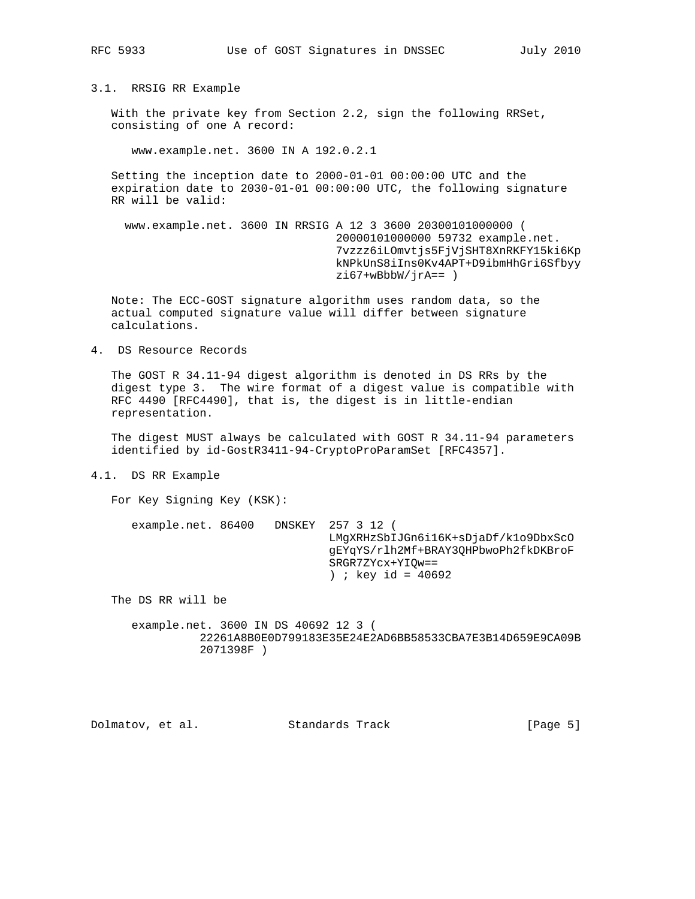3.1. RRSIG RR Example

 With the private key from Section 2.2, sign the following RRSet, consisting of one A record:

www.example.net. 3600 IN A 192.0.2.1

 Setting the inception date to 2000-01-01 00:00:00 UTC and the expiration date to 2030-01-01 00:00:00 UTC, the following signature RR will be valid:

 www.example.net. 3600 IN RRSIG A 12 3 3600 20300101000000 ( 20000101000000 59732 example.net. 7vzzz6iLOmvtjs5FjVjSHT8XnRKFY15ki6Kp kNPkUnS8iIns0Kv4APT+D9ibmHhGri6Sfbyy  $zi67+wBbbW/jrA==$  )

 Note: The ECC-GOST signature algorithm uses random data, so the actual computed signature value will differ between signature calculations.

4. DS Resource Records

 The GOST R 34.11-94 digest algorithm is denoted in DS RRs by the digest type 3. The wire format of a digest value is compatible with RFC 4490 [RFC4490], that is, the digest is in little-endian representation.

 The digest MUST always be calculated with GOST R 34.11-94 parameters identified by id-GostR3411-94-CryptoProParamSet [RFC4357].

4.1. DS RR Example

For Key Signing Key (KSK):

 example.net. 86400 DNSKEY 257 3 12 ( LMgXRHzSbIJGn6i16K+sDjaDf/k1o9DbxScO gEYqYS/rlh2Mf+BRAY3QHPbwoPh2fkDKBroF SRGR7ZYcx+YIQw== ) ; key id =  $40692$ 

The DS RR will be

 example.net. 3600 IN DS 40692 12 3 ( 22261A8B0E0D799183E35E24E2AD6BB58533CBA7E3B14D659E9CA09B 2071398F )

Dolmatov, et al. Standards Track [Page 5]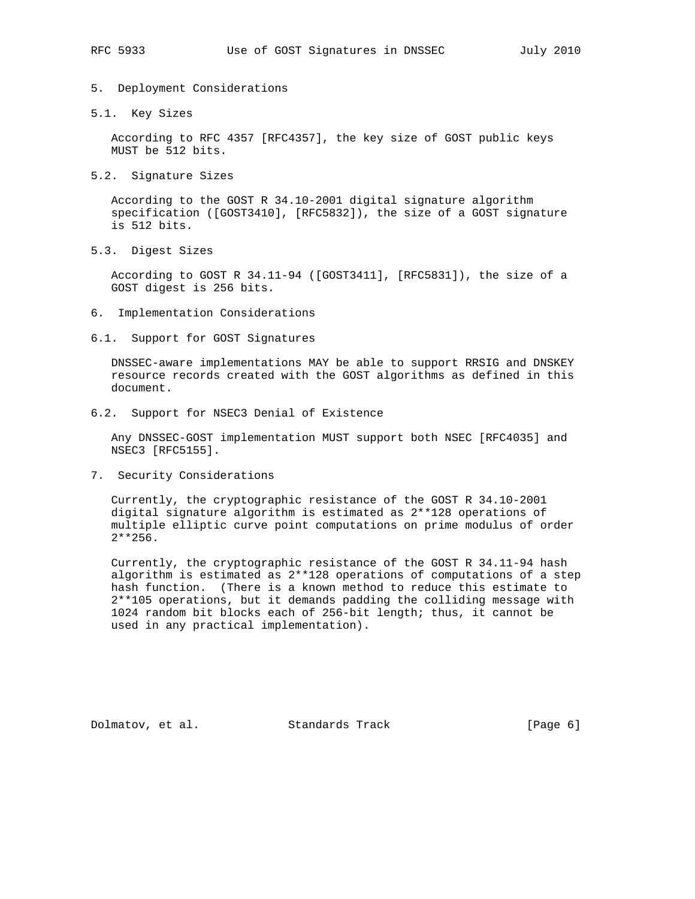- 5. Deployment Considerations
- 5.1. Key Sizes

 According to RFC 4357 [RFC4357], the key size of GOST public keys MUST be 512 bits.

5.2. Signature Sizes

 According to the GOST R 34.10-2001 digital signature algorithm specification ([GOST3410], [RFC5832]), the size of a GOST signature is 512 bits.

5.3. Digest Sizes

 According to GOST R 34.11-94 ([GOST3411], [RFC5831]), the size of a GOST digest is 256 bits.

- 6. Implementation Considerations
- 6.1. Support for GOST Signatures

 DNSSEC-aware implementations MAY be able to support RRSIG and DNSKEY resource records created with the GOST algorithms as defined in this document.

6.2. Support for NSEC3 Denial of Existence

 Any DNSSEC-GOST implementation MUST support both NSEC [RFC4035] and NSEC3 [RFC5155].

7. Security Considerations

 Currently, the cryptographic resistance of the GOST R 34.10-2001 digital signature algorithm is estimated as 2\*\*128 operations of multiple elliptic curve point computations on prime modulus of order 2\*\*256.

 Currently, the cryptographic resistance of the GOST R 34.11-94 hash algorithm is estimated as 2\*\*128 operations of computations of a step hash function. (There is a known method to reduce this estimate to 2\*\*105 operations, but it demands padding the colliding message with 1024 random bit blocks each of 256-bit length; thus, it cannot be used in any practical implementation).

Dolmatov, et al. Standards Track [Page 6]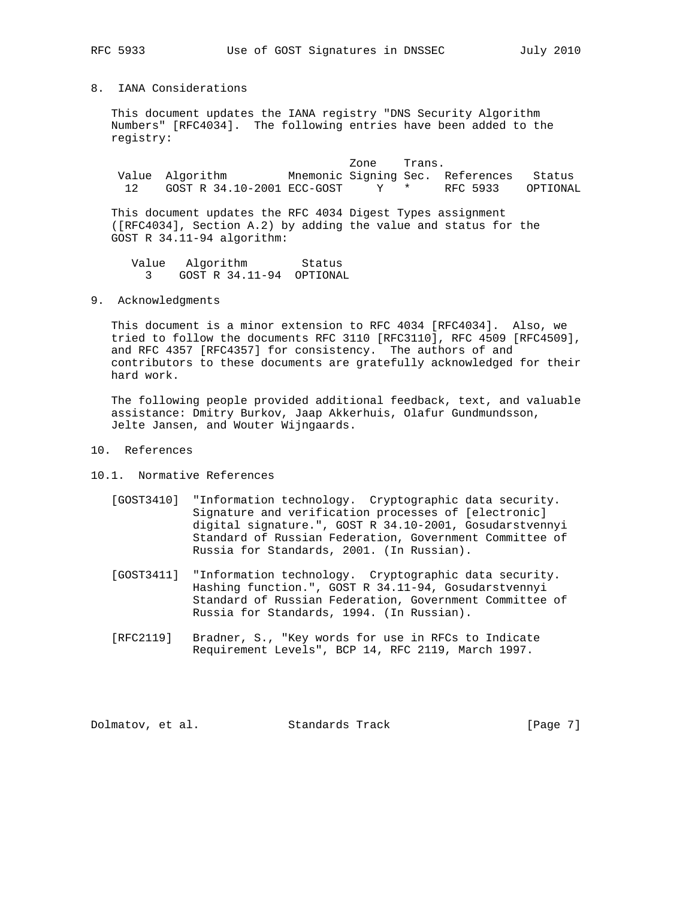### 8. IANA Considerations

 This document updates the IANA registry "DNS Security Algorithm Numbers" [RFC4034]. The following entries have been added to the registry:

zone Trans. Value Algorithm Mnemonic Signing Sec. References Status 12 GOST R 34.10-2001 ECC-GOST Y \* RFC 5933 OPTIONAL

 This document updates the RFC 4034 Digest Types assignment ([RFC4034], Section A.2) by adding the value and status for the GOST R 34.11-94 algorithm:

Value Algorithm Status 3 GOST R 34.11-94 OPTIONAL

9. Acknowledgments

 This document is a minor extension to RFC 4034 [RFC4034]. Also, we tried to follow the documents RFC 3110 [RFC3110], RFC 4509 [RFC4509], and RFC 4357 [RFC4357] for consistency. The authors of and contributors to these documents are gratefully acknowledged for their hard work.

 The following people provided additional feedback, text, and valuable assistance: Dmitry Burkov, Jaap Akkerhuis, Olafur Gundmundsson, Jelte Jansen, and Wouter Wijngaards.

- 10. References
- 10.1. Normative References
	- [GOST3410] "Information technology. Cryptographic data security. Signature and verification processes of [electronic] digital signature.", GOST R 34.10-2001, Gosudarstvennyi Standard of Russian Federation, Government Committee of Russia for Standards, 2001. (In Russian).
	- [GOST3411] "Information technology. Cryptographic data security. Hashing function.", GOST R 34.11-94, Gosudarstvennyi Standard of Russian Federation, Government Committee of Russia for Standards, 1994. (In Russian).
	- [RFC2119] Bradner, S., "Key words for use in RFCs to Indicate Requirement Levels", BCP 14, RFC 2119, March 1997.

Dolmatov, et al. Standards Track [Page 7]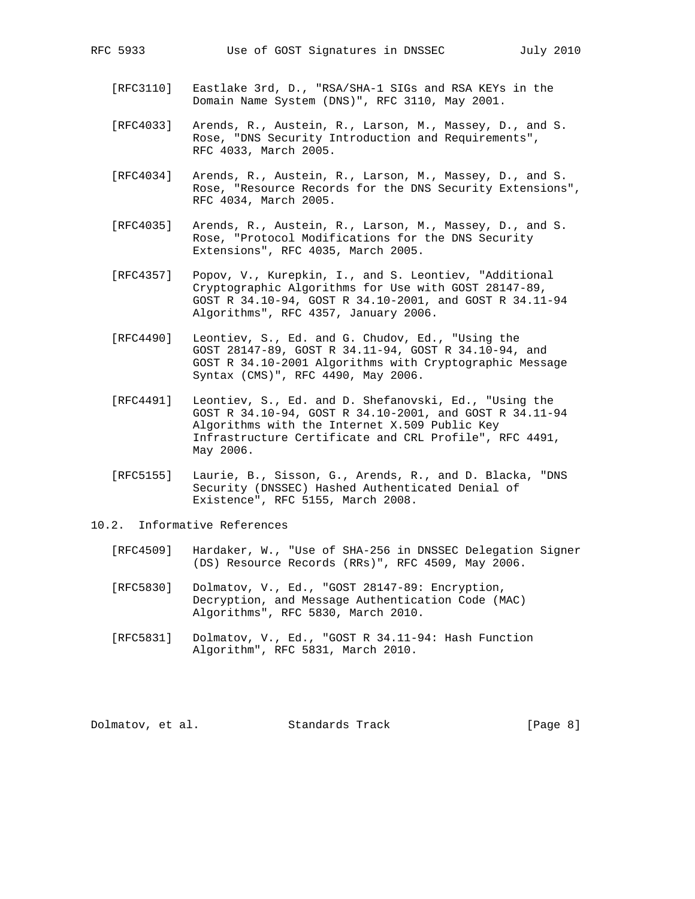- [RFC3110] Eastlake 3rd, D., "RSA/SHA-1 SIGs and RSA KEYs in the Domain Name System (DNS)", RFC 3110, May 2001.
- [RFC4033] Arends, R., Austein, R., Larson, M., Massey, D., and S. Rose, "DNS Security Introduction and Requirements", RFC 4033, March 2005.
- [RFC4034] Arends, R., Austein, R., Larson, M., Massey, D., and S. Rose, "Resource Records for the DNS Security Extensions", RFC 4034, March 2005.
- [RFC4035] Arends, R., Austein, R., Larson, M., Massey, D., and S. Rose, "Protocol Modifications for the DNS Security Extensions", RFC 4035, March 2005.
- [RFC4357] Popov, V., Kurepkin, I., and S. Leontiev, "Additional Cryptographic Algorithms for Use with GOST 28147-89, GOST R 34.10-94, GOST R 34.10-2001, and GOST R 34.11-94 Algorithms", RFC 4357, January 2006.
- [RFC4490] Leontiev, S., Ed. and G. Chudov, Ed., "Using the GOST 28147-89, GOST R 34.11-94, GOST R 34.10-94, and GOST R 34.10-2001 Algorithms with Cryptographic Message Syntax (CMS)", RFC 4490, May 2006.
- [RFC4491] Leontiev, S., Ed. and D. Shefanovski, Ed., "Using the GOST R 34.10-94, GOST R 34.10-2001, and GOST R 34.11-94 Algorithms with the Internet X.509 Public Key Infrastructure Certificate and CRL Profile", RFC 4491, May 2006.
- [RFC5155] Laurie, B., Sisson, G., Arends, R., and D. Blacka, "DNS Security (DNSSEC) Hashed Authenticated Denial of Existence", RFC 5155, March 2008.
- 10.2. Informative References
	- [RFC4509] Hardaker, W., "Use of SHA-256 in DNSSEC Delegation Signer (DS) Resource Records (RRs)", RFC 4509, May 2006.
	- [RFC5830] Dolmatov, V., Ed., "GOST 28147-89: Encryption, Decryption, and Message Authentication Code (MAC) Algorithms", RFC 5830, March 2010.
	- [RFC5831] Dolmatov, V., Ed., "GOST R 34.11-94: Hash Function Algorithm", RFC 5831, March 2010.

Dolmatov, et al. Standards Track [Page 8]